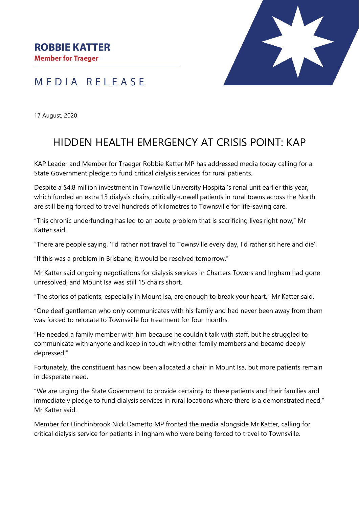## MEDIA RELEASE



17 August, 2020

## HIDDEN HEALTH EMERGENCY AT CRISIS POINT: KAP

KAP Leader and Member for Traeger Robbie Katter MP has addressed media today calling for a State Government pledge to fund critical dialysis services for rural patients.

Despite a \$4.8 million investment in Townsville University Hospital's renal unit earlier this year, which funded an extra 13 dialysis chairs, critically-unwell patients in rural towns across the North are still being forced to travel hundreds of kilometres to Townsville for life-saving care.

"This chronic underfunding has led to an acute problem that is sacrificing lives right now," Mr Katter said.

"There are people saying, 'I'd rather not travel to Townsville every day, I'd rather sit here and die'.

"If this was a problem in Brisbane, it would be resolved tomorrow."

Mr Katter said ongoing negotiations for dialysis services in Charters Towers and Ingham had gone unresolved, and Mount Isa was still 15 chairs short.

"The stories of patients, especially in Mount Isa, are enough to break your heart," Mr Katter said.

"One deaf gentleman who only communicates with his family and had never been away from them was forced to relocate to Townsville for treatment for four months.

"He needed a family member with him because he couldn't talk with staff, but he struggled to communicate with anyone and keep in touch with other family members and became deeply depressed."

Fortunately, the constituent has now been allocated a chair in Mount Isa, but more patients remain in desperate need.

"We are urging the State Government to provide certainty to these patients and their families and immediately pledge to fund dialysis services in rural locations where there is a demonstrated need," Mr Katter said.

Member for Hinchinbrook Nick Dametto MP fronted the media alongside Mr Katter, calling for critical dialysis service for patients in Ingham who were being forced to travel to Townsville.